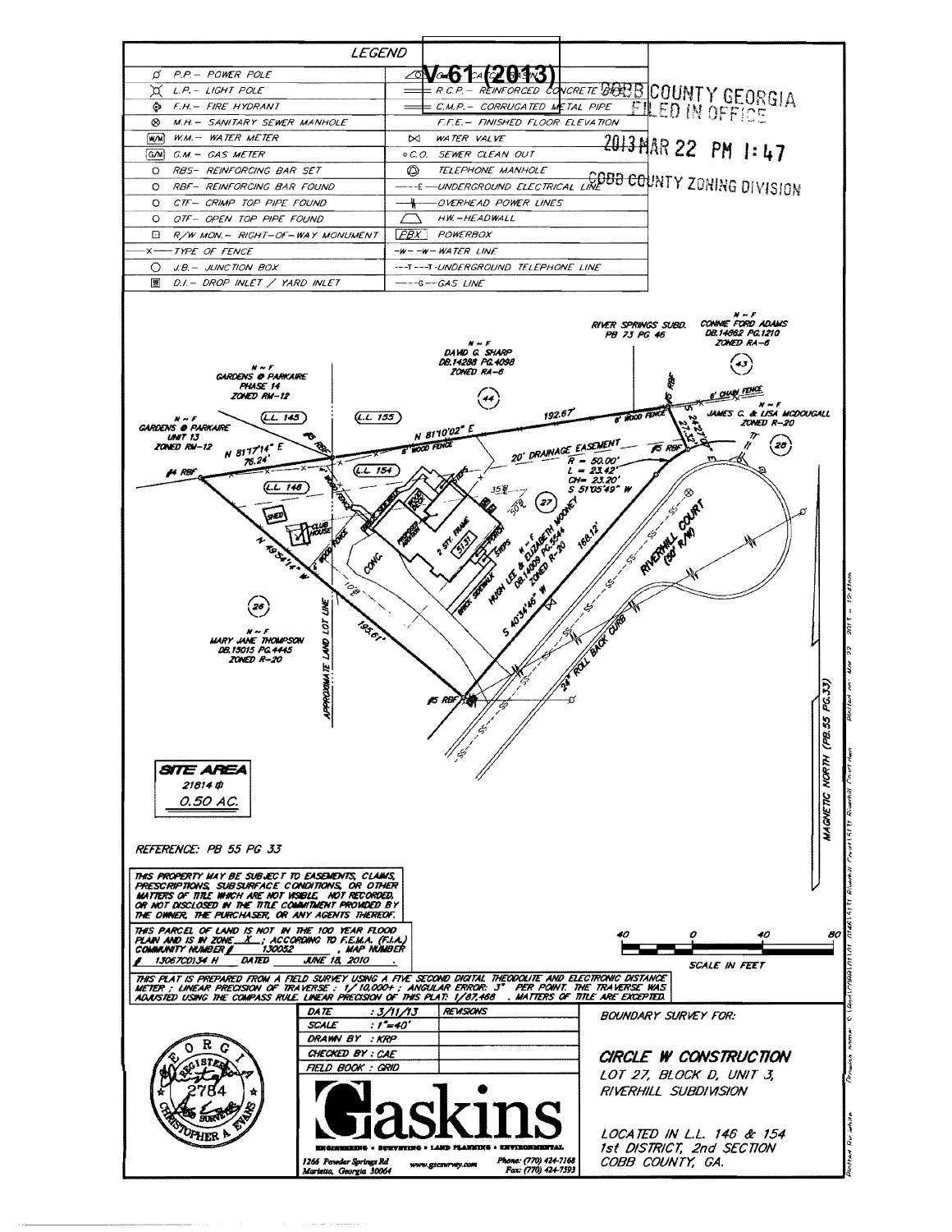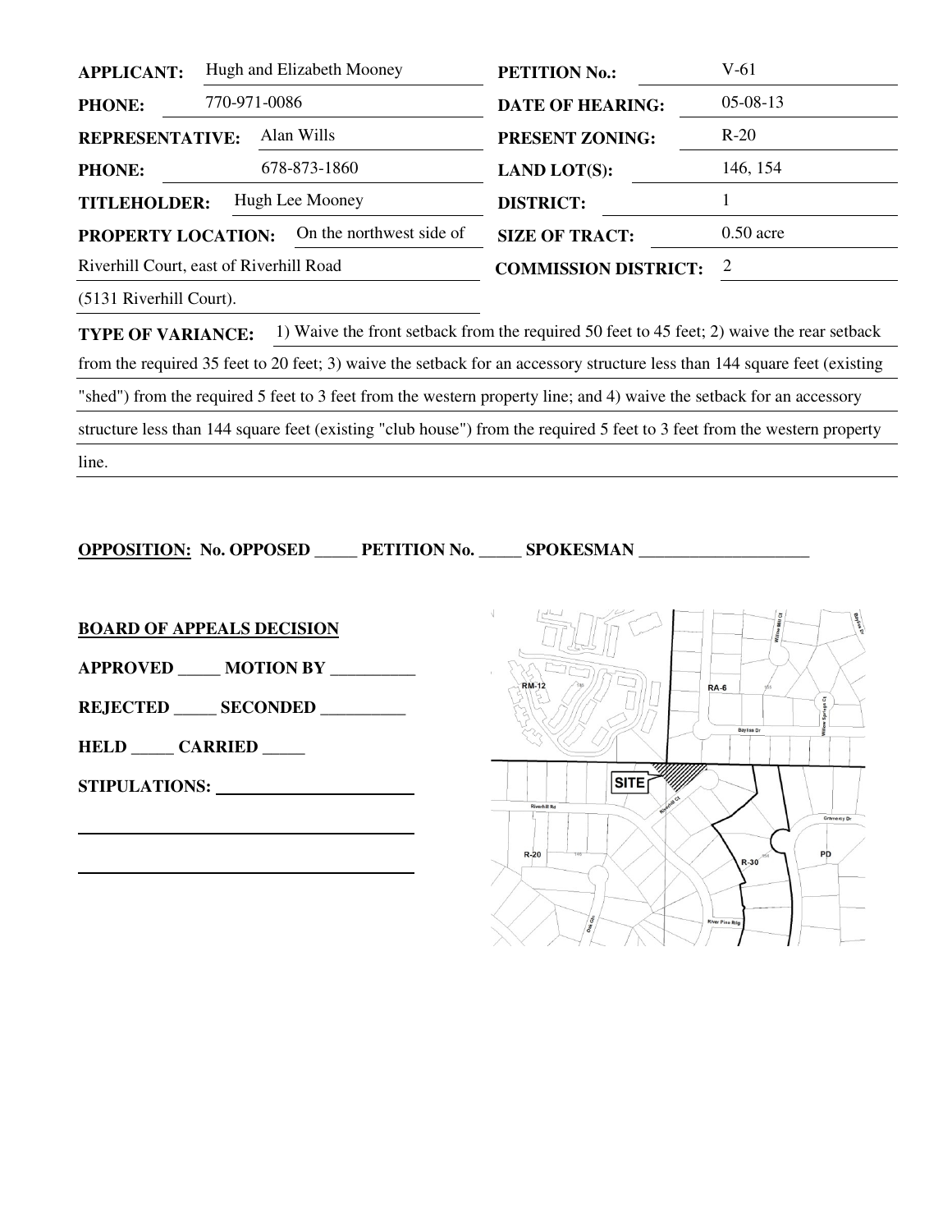| <b>APPLICANT:</b>                                     | Hugh and Elizabeth Mooney |                        | <b>PETITION No.:</b>        | V-61        |
|-------------------------------------------------------|---------------------------|------------------------|-----------------------------|-------------|
| <b>PHONE:</b>                                         | 770-971-0086              |                        | <b>DATE OF HEARING:</b>     | $05-08-13$  |
| Alan Wills<br><b>REPRESENTATIVE:</b>                  |                           | <b>PRESENT ZONING:</b> | $R-20$                      |             |
| <b>PHONE:</b>                                         |                           | 678-873-1860           | <b>LAND LOT(S):</b>         | 146, 154    |
| Hugh Lee Mooney<br><b>TITLEHOLDER:</b>                |                           |                        | <b>DISTRICT:</b>            |             |
| On the northwest side of<br><b>PROPERTY LOCATION:</b> |                           |                        | <b>SIZE OF TRACT:</b>       | $0.50$ acre |
| Riverhill Court, east of Riverhill Road               |                           |                        | <b>COMMISSION DISTRICT:</b> | 2           |
|                                                       |                           |                        |                             |             |

(5131 Riverhill Court).

**TYPE OF VARIANCE:** 1) Waive the front setback from the required 50 feet to 45 feet; 2) waive the rear setback from the required 35 feet to 20 feet; 3) waive the setback for an accessory structure less than 144 square feet (existing "shed") from the required 5 feet to 3 feet from the western property line; and 4) waive the setback for an accessory structure less than 144 square feet (existing "club house") from the required 5 feet to 3 feet from the western property line.

**OPPOSITION: No. OPPOSED \_\_\_\_\_ PETITION No. \_\_\_\_\_ SPOKESMAN \_\_\_\_\_\_\_\_\_\_\_\_** 

**BOARD OF APPEALS DECISION**

**APPROVED \_\_\_\_\_ MOTION BY \_\_\_\_\_\_\_\_\_\_** 

**REJECTED \_\_\_\_\_ SECONDED \_\_\_\_\_\_\_\_\_\_** 

**HELD \_\_\_\_\_ CARRIED \_\_\_\_\_** 

**STIPULATIONS:** 

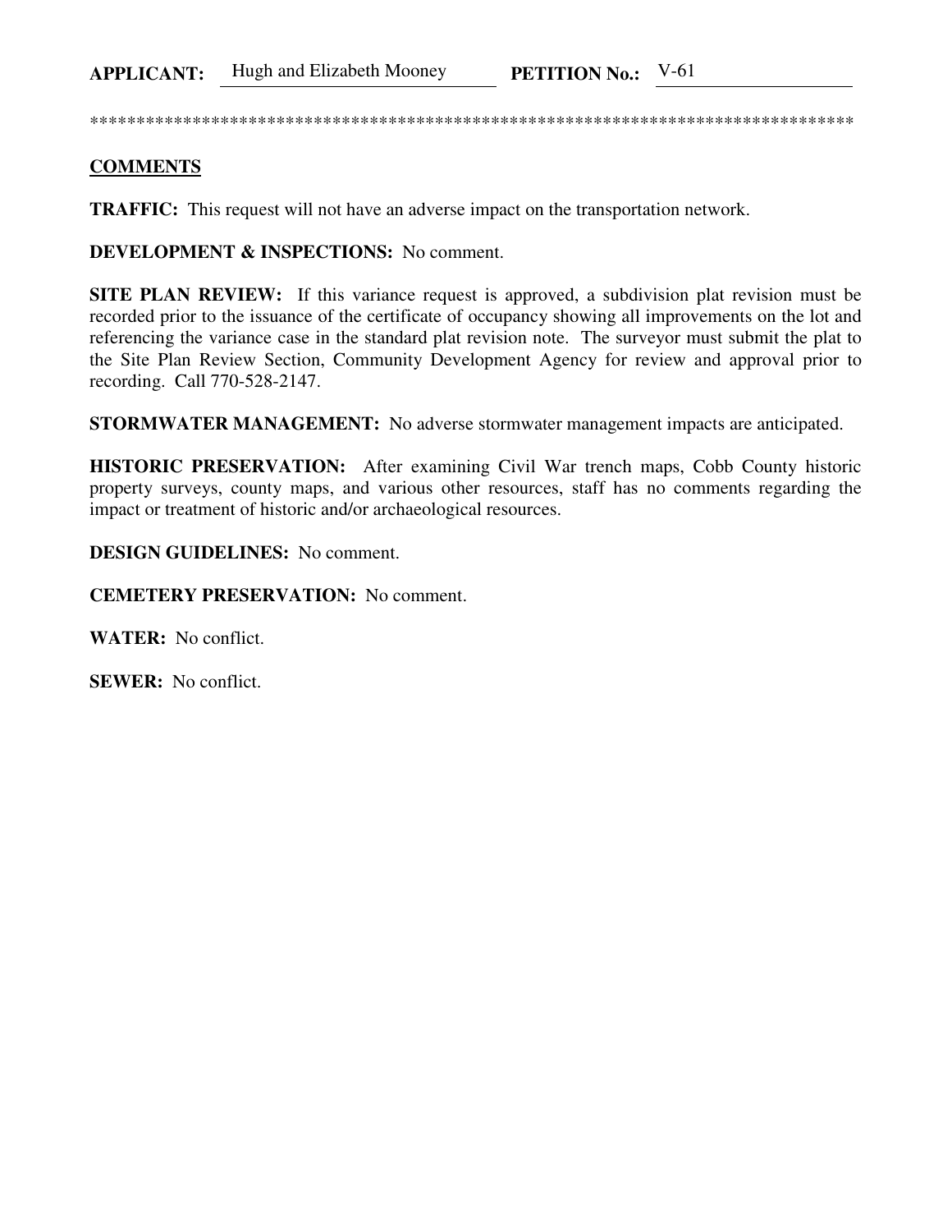\*\*\*\*\*\*\*\*\*\*\*\*\*\*\*\*\*\*\*\*\*\*\*\*\*\*\*\*\*\*\*\*\*\*\*\*\*\*\*\*\*\*\*\*\*\*\*\*\*\*\*\*\*\*\*\*\*\*\*\*\*\*\*\*\*\*\*\*\*\*\*\*\*\*\*\*\*\*\*\*\*\*

## **COMMENTS**

**TRAFFIC:** This request will not have an adverse impact on the transportation network.

**DEVELOPMENT & INSPECTIONS:** No comment.

**SITE PLAN REVIEW:** If this variance request is approved, a subdivision plat revision must be recorded prior to the issuance of the certificate of occupancy showing all improvements on the lot and referencing the variance case in the standard plat revision note. The surveyor must submit the plat to the Site Plan Review Section, Community Development Agency for review and approval prior to recording. Call 770-528-2147.

**STORMWATER MANAGEMENT:** No adverse stormwater management impacts are anticipated.

**HISTORIC PRESERVATION:** After examining Civil War trench maps, Cobb County historic property surveys, county maps, and various other resources, staff has no comments regarding the impact or treatment of historic and/or archaeological resources.

**DESIGN GUIDELINES:** No comment.

**CEMETERY PRESERVATION:** No comment.

**WATER:** No conflict.

**SEWER:** No conflict.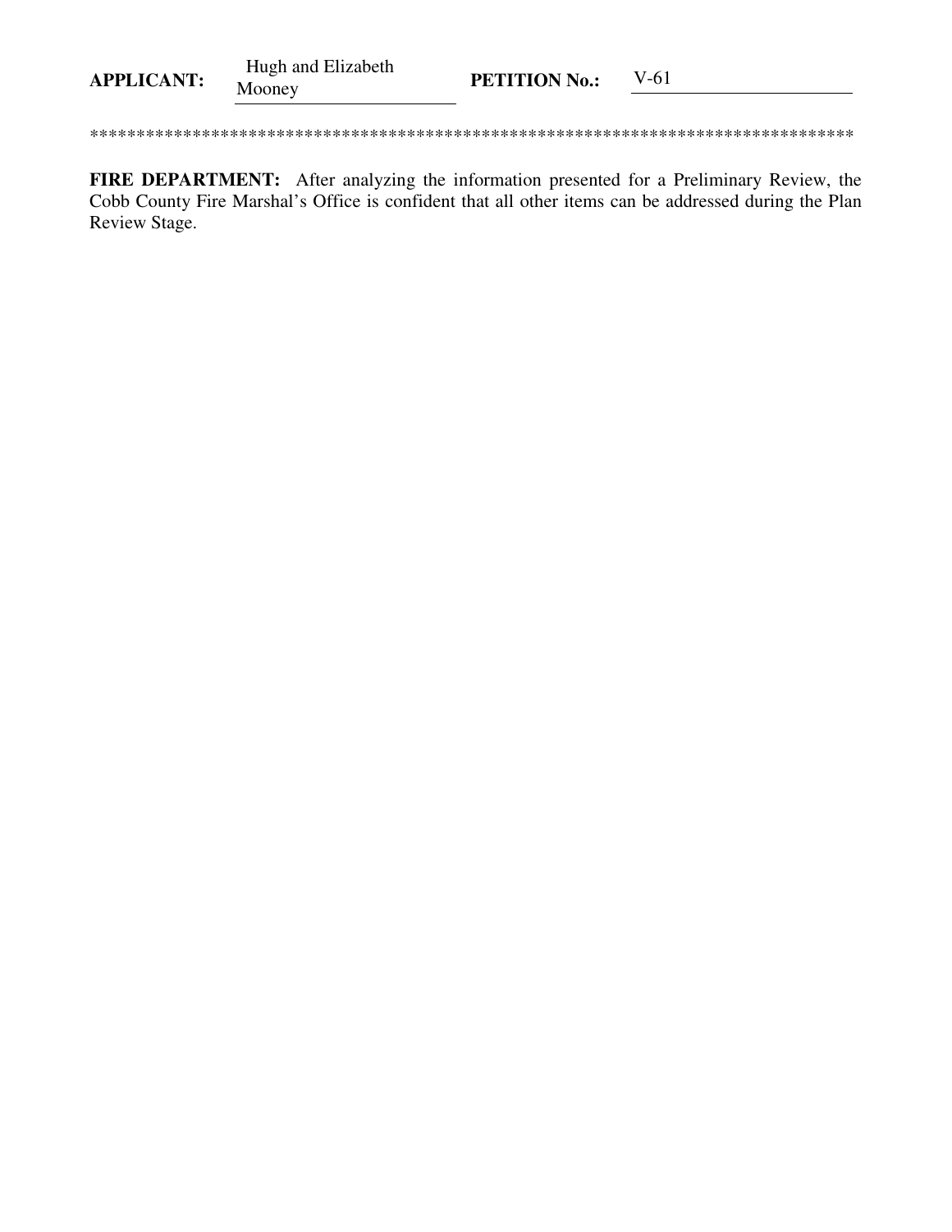| <b>APPLICANT:</b> | Hugh and Elizabeth<br>Mooney | <b>PETITION No.:</b> | V-61 |
|-------------------|------------------------------|----------------------|------|
|-------------------|------------------------------|----------------------|------|

FIRE DEPARTMENT: After analyzing the information presented for a Preliminary Review, the Cobb County Fire Marshal's Office is confident that all other items can be addressed during the Plan Review Stage.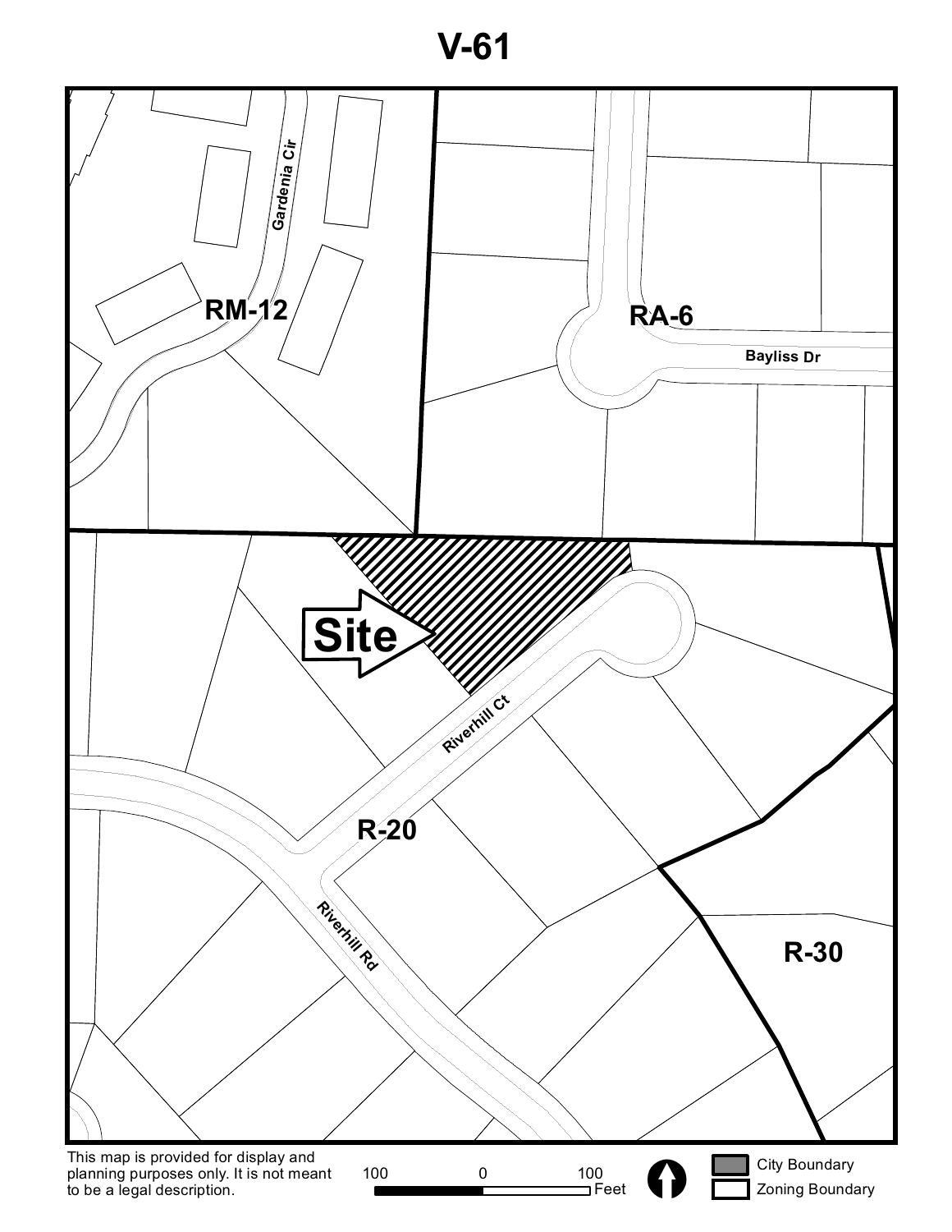**V-61**